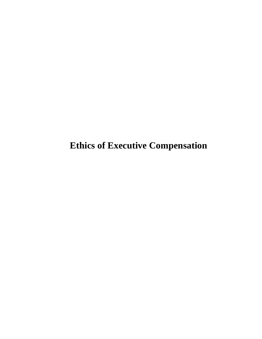**Ethics of Executive Compensation**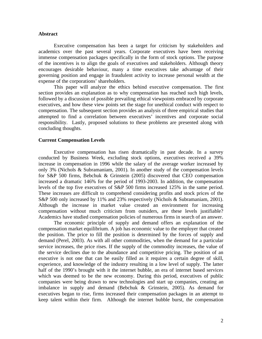## **Abstract**

Executive compensation has been a target for criticism by stakeholders and academics over the past several years. Corporate executives have been receiving immense compensation packages specifically in the form of stock options. The purpose of the incentives is to align the goals of executives and stakeholders. Although theory encourages desirable behaviour, many a time executives take advantage of their governing position and engage in fraudulent activity to increase personal wealth at the expense of the corporations' shareholders.

This paper will analyze the ethics behind executive compensation. The first section provides an explanation as to why compensation has reached such high levels, followed by a discussion of possible prevailing ethical viewpoints embraced by corporate executives, and how these view points set the stage for unethical conduct with respect to compensation. The subsequent section provides an analysis of three empirical studies that attempted to find a correlation between executives' incentives and corporate social responsibility. Lastly, proposed solutions to these problems are presented along with concluding thoughts.

### **Current Compensation Levels**

Executive compensation has risen dramatically in past decade. In a survey conducted by Business Week, excluding stock options, executives received a 39% increase in compensation in 1996 while the salary of the average worker increased by only 3% (Nichols & Subramaniam, 2001). In another study of the compensation levels for S&P 500 firms, Bebchuk & Grinstein (2005) discovered that CEO compensation increased a dramatic 146% for the period of 1993-2003. In addition, the compensation levels of the top five executives of S&P 500 firms increased 125% in the same period. These increases are difficult to comprehend considering profits and stock prices of the S&P 500 only increased by 11% and 23% respectively (Nichols & Subramaniam, 2001). Although the increase in market value created an environment for increasing compensation without much criticism from outsiders, are these levels justifiable? Academics have studied compensation policies of numerous firms in search of an answer.

The economic principle of supply and demand offers an explanation of the compensation market equilibrium. A job has economic value to the employer that created the position. The price to fill the position is determined by the forces of supply and demand (Perel, 2003). As with all other commodities, when the demand for a particular service increases, the price rises. If the supply of the commodity increases, the value of the service declines due to the abundance and competitive pricing. The position of an executive is not one that can be easily filled as it requires a certain degree of skill, experience, and knowledge of the industry resulting in a low level of supply. The latter half of the 1990's brought with it the internet bubble, an era of internet based services which was deemed to be the new economy. During this period, executives of public companies were being drawn to new technologies and start up companies, creating an imbalance in supply and demand (Bebchuk & Grinstein, 2005). As demand for executives began to rise, firms increased their compensation packages in an attempt to keep talent within their firm. Although the internet bubble burst, the compensation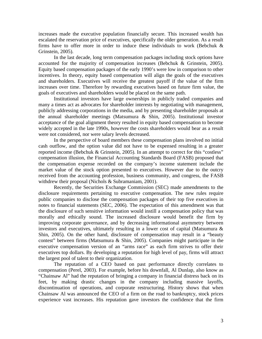increases made the executive population financially secure. This increased wealth has escalated the reservation price of executives, specifically the older generation. As a result firms have to offer more in order to induce these individuals to work (Bebchuk  $\&$ Grinstein, 2005).

In the last decade, long term compensation packages including stock options have accounted for the majority of compensation increases (Bebchuk & Grinstein, 2005). Equity based compensation packages of the early 1990's were low in comparison to other incentives. In theory, equity based compensation will align the goals of the executives and shareholders. Executives will receive the greatest payoff if the value of the firm increases over time. Therefore by rewarding executives based on future firm value, the goals of executives and shareholders would be placed on the same path.

Institutional investors have large ownerships in publicly traded companies and many a times act as advocates for shareholder interests by negotiating with management, publicly addressing corporations in the media, and by presenting shareholder proposals at the annual shareholder meetings (Matsumura & Shin, 2005). Institutional investor acceptance of the goal alignment theory resulted in equity based compensation to become widely accepted in the late 1990s, however the costs shareholders would bear as a result were not considered, nor were salary levels decreased.

In the perspective of board members these compensation plans involved no initial cash outflow, and the option value did not have to be expensed resulting in a greater reported income (Bebchuk & Grinstein, 2005). In an attempt to correct for this "costless" compensation illusion, the Financial Accounting Standards Board (FASB) proposed that the compensation expense recorded on the company's income statement include the market value of the stock option presented to executives. However due to the outcry received from the accounting profession, business community, and congress, the FASB withdrew their proposal (Nichols & Subramaniam, 2001).

Recently, the Securities Exchange Commission (SEC) made amendments to the disclosure requirements pertaining to executive compensation. The new rules require public companies to disclose the compensation packages of their top five executives in notes to financial statements (SEC, 2006). The expectation of this amendment was that the disclosure of such sensitive information would instill a compensation policy that was morally and ethically sound. The increased disclosure would benefit the firm by improving corporate governance, and by decreasing informational asymmetry between investors and executives, ultimately resulting in a lower cost of capital (Matsumura & Shin, 2005). On the other hand, disclosure of compensation may result in a "beauty contest" between firms (Matsumura & Shin, 2005). Companies might participate in the executive compensation version of an "arms race" as each firm strives to offer their executives top dollars. By developing a reputation for high level of pay, firms will attract the largest pool of talent to their organization.

The reputation of a CEO based on past performance directly correlates to compensation (Perel, 2003). For example, before his downfall, Al Dunlap, also know as "Chainsaw Al" had the reputation of bringing a company in financial distress back on its feet, by making drastic changes in the company including massive layoffs, discontinuation of operations, and corporate restructuring. History shows that when Chainsaw Al was announced the CEO of a firm on the road to bankruptcy, stock prices experience vast increases. His reputation gave investors the confidence that the firm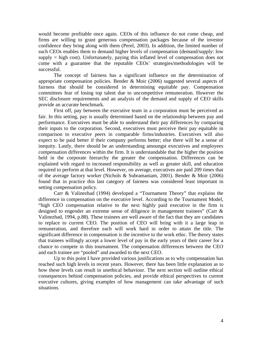would become profitable once again. CEOs of this influence do not come cheap, and firms are willing to grant generous compensation packages because of the investor confidence they bring along with them (Perel, 2003). In addition, the limited number of such CEOs enables them to demand higher levels of compensation (demand/supply: low  $\text{supply} = \text{high cost}$ . Unfortunately, paying this inflated level of compensation does not come with a guarantee that the reputable CEOs' strategies/methodologies will be successful.

The concept of fairness has a significant influence on the determination of appropriate compensation policies. Bender & Moir (2006) suggested several aspects of fairness that should be considered in determining equitable pay. Compensation committees fear of losing top talent due to uncompetitive remuneration. However the SEC disclosure requirements and an analysis of the demand and supply of CEO skills provide an accurate benchmark.

First off, pay between the executive team in a corporation must be perceived as fair. In this setting, pay is usually determined based on the relationship between pay and performance. Executives must be able to understand their pay differences by comparing their inputs to the corporation. Second, executives must perceive their pay equitable in comparison to executive peers in comparable firms/industries. Executives will also expect to be paid better if their company performs better; else there will be a sense of inequity. Lastly, there should be an understanding amoungst executives and employees compensation differences within the firm. It is understandable that the higher the position held in the corporate hierarchy the greater the compensation. Differences can be explained with regard to increased responsibility as well as greater skill, and education required to perform at that level. However, on average, executives are paid 209 times that of the average factory worker (Nichols & Subramaniam, 2001). Bender & Moir (2006) found that in practice this last category of fairness was considered least important in setting compensation policy.

Carr & Valinezhad (1994) developed a "Tournament Theory" that explains the difference in compensation on the executive level. According to the Tournament Model, "high CEO compensation relative to the next highly paid executive in the firm is designed to engender an extreme sense of diligence in management trainees" (Carr & Valinezhad, 1994, p.88). These trainees are well aware of the fact that they are candidates to replace to current CEO. The position of CEO will bring with it a large leap in remuneration, and therefore each will work hard in order to attain the title. The significant difference in compensation is the incentive to the work ethic. The theory states that trainees willingly accept a lower level of pay in the early years of their career for a chance to compete in this tournament. The compensation differences between the CEO and each trainee are "pooled" and awarded to the next CEO.

Up to this point I have provided various justifications as to why compensation has reached such high levels in recent years. However, there has been little explanation as to how these levels can result in unethical behaviour. The next section will outline ethical consequences behind compensation policies, and provide ethical perspectives to current executive cultures, giving examples of how management can take advantage of such situations.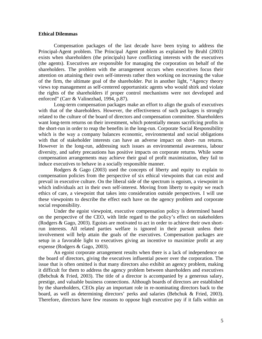## **Ethical Dilemmas**

Compensation packages of the last decade have been trying to address the Principal-Agent problem. The Principal Agent problem as explained by Bruhl (2003) exists when shareholders (the principals) have conflicting interests with the executives (the agents). Executives are responsible for managing the corporation on behalf of the shareholders. The problem with the arrangement occurs when executives focus their attention on attaining their own self-interests rather then working on increasing the value of the firm, the ultimate goal of the shareholder. Put in another light, "Agency theory views top management as self-centered opportunistic agents who would shirk and violate the rights of the shareholders if proper control mechanisms were not developed and enforced" (Carr & Valinezhad, 1994, p.87).

Long-term compensation packages make an effort to align the goals of executives with that of the shareholders. However, the effectiveness of such packages is strongly related to the culture of the board of directors and compensation committee. Shareholders want long-term returns on their investment, which potentially means sacrificing profits in the short-run in order to reap the benefits in the long-run. Corporate Social Responsibility which is the way a company balances economic, environmental and social obligations with that of stakeholder interests can have an adverse impact on short- run returns. However in the long-run, addressing such issues as environmental awareness, labour diversity, and safety precautions has positive impacts on corporate returns. While some compensation arrangements may achieve their goal of profit maximization, they fail to induce executives to behave in a socially responsible manner.

Rodgers & Gago (2003) used the concepts of liberty and equity to explain to compensation policies from the perspective of six ethical viewpoints that can exist and prevail in executive culture. On the liberal side of the spectrum is egoism, a viewpoint in which individuals act in their own self-interest. Moving from liberty to equity we reach ethics of care, a viewpoint that takes into consideration outside perspectives. I will use these viewpoints to describe the effect each have on the agency problem and corporate social responsibility.

 Under the egoist viewpoint, executive compensation policy is determined based on the perspective of the CEO, with little regard to the policy's effect on stakeholders (Rodgers & Gago, 2003). Egoists are motivated to act in order to achieve their own shortrun interests. All related parties welfare is ignored in their pursuit unless their involvement will help attain the goals of the executives. Compensation packages are setup in a favorable light to executives giving an incentive to maximize profit at any expense (Rodgers & Gago, 2003).

 An egoist corporate arrangement results when there is a lack of independence on the board of directors, giving the executives influential power over the corporation. The issue that is often omitted is that many directors also exhibit an agency problem, making it difficult for them to address the agency problem between shareholders and executives (Bebchuk & Fried, 2003). The title of a director is accompanied by a generous salary, prestige, and valuable business connections. Although boards of directors are established by the shareholders, CEOs play an important role in re-nominating directors back to the board, as well as determining directors' perks and salaries (Bebchuk & Fried, 2003). Therefore, directors have few reasons to oppose high executive pay if it falls within an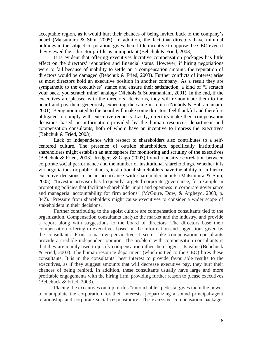acceptable region, as it would hurt their chances of being invited back to the company's board (Matsumura & Shin, 2005). In addition, the fact that directors have minimal holdings in the subject corporation, gives them little incentive to oppose the CEO even if they viewed their director profile as unimportant (Bebchuk & Fried, 2003).

It is evident that offering executives lucrative compensation packages has little effect on the directors' reputation and financial status. However, if hiring negotiations were to fail because of inability to settle on a compensation amount, the reputation of directors would be damaged (Bebchuk & Fried, 2003). Further conflicts of interest arise as most directors hold an executive position in another company. As a result they are sympathetic to the executives' stance and ensure their satisfaction, a kind of "I scratch your back, you scratch mine" analogy (Nichols & Subramaniam, 2001). In the end, if the executives are pleased with the directors' decisions, they will re-nominate them to the board and pay them generously expecting the same in return (Nichols & Subramaniam, 2001). Being nominated to the board will make some directors feel thankful and therefore obligated to comply with executive requests. Lastly, directors make their compensation decisions based on information provided by the human resources department and compensation consultants, both of whom have an incentive to impress the executives (Bebchuk & Fried, 2003).

Lack of independence with respect to shareholders also contributes to a selfcentered culture. The presence of outside shareholders, specifically institutional shareholders might establish an atmosphere for monitoring and scrutiny of the executives (Bebchuk & Fried, 2003). Rodgers & Gago (2003) found a positive correlation between corporate social performance and the number of institutional shareholdings. Whether it is via negotiations or public attacks, institutional shareholders have the ability to influence executive decisions to be in accordance with shareholder beliefs (Matsumura & Shin, 2005). "Investor activism has frequently targeted corporate governance, for example in promoting policies that facilitate shareholder input and openness in corporate governance and managerial accountability for firm actions" (McGuire, Dow, & Argheyd, 2003, p. 347). Pressure from shareholders might cause executives to consider a wider scope of stakeholders in their decisions.

Further contributing to the egoist culture are compensation consultants tied to the organization. Compensation consultants analyze the market and the industry, and provide a report along with suggestions to the board of directors. The directors base their compensation offering to executives based on the information and suggestions given by the consultants. From a narrow perspective it seems like compensation consultants provide a credible independent opinion. The problem with compensation consultants is that they are mainly used to justify compensation rather then suggest its value (Bebchuck & Fried, 2003). The human resource department (which is tied to the CEO) hires these consultants. It is in the consultants' best interest to provide favourable results to the executives, as if they suggest amounts that will decrease executive pay, they hurt their chances of being rehired. In addition, these consultants usually have large and more profitable engagements with the hiring firm, providing further reason to please executives (Bebchuck & Fried, 2003).

Placing the executives on top of this "untouchable" pedestal gives them the power to manipulate the corporation for their interests, jeopardizing a sound principal-agent relationship and corporate social responsibility. The excessive compensation packages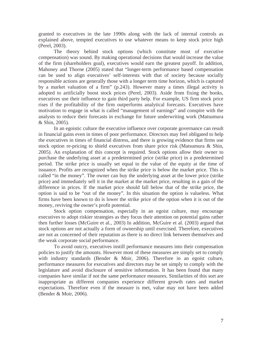granted to executives in the late 1990s along with the lack of internal controls as explained above, tempted executives to use whatever means to keep stock price high (Perel, 2003).

The theory behind stock options (which constitute most of executive compensation) was sound. By making operational decisions that would increase the value of the firm (shareholders goal), executives would earn the greatest payoff. In addition, Mahoney and Thorne (2005) stated that "longer-term performance based compensation can be used to align executives' self-interests with that of society because socially responsible actions are generally those with a longer term time horizon, which is captured by a market valuation of a firm" (p.243). However many a times illegal activity is adopted to artificially boost stock prices (Perel, 2003). Aside from fixing the books, executives use their influence to gain third party help. For example, US firm stock price rises if the profitability of the firm outperforms analytical forecasts. Executives have motivation to engage in what is called "management of earnings" and conspire with the analysts to reduce their forecasts in exchange for future underwriting work (Matsumura & Shin, 2005).

In an egoistic culture the executive influence over corporate governance can result in financial gains even in times of poor performance. Directors may feel obligated to help the executives in times of financial distress, and there is growing evidence that firms use stock option re-pricing to shield executives from share price risk (Matsumura & Shin, 2005). An explanation of this concept is required. Stock options allow their owner to purchase the underlying asset at a predetermined price (strike price) in a predetermined period. The strike price is usually set equal to the value of the equity at the time of issuance. Profits are recognized when the strike price is below the market price. This is called "in the money". The owner can buy the underlying asset at the lower price (strike price) and immediately sell it in the market at the market price, resulting in a gain of the difference in prices. If the market price should fall below that of the strike price, the option is said to be "out of the money". In this situation the option is valueless. What firms have been known to do is lower the strike price of the option when it is out of the money, reviving the owner's profit potential.

Stock option compensation, especially in an egoist culture, may encourage executives to adopt riskier strategies as they focus their attention on potential gains rather then further losses (McGuire et al., 2003) In addition, McGuire et al. (2003) argued that stock options are not actually a form of ownership until exercised. Therefore, executives are not as concerned of their reputation as there is no direct link between themselves and the weak corporate social performance.

To avoid outcry, executives instill performance measures into their compensation policies to justify the amounts. However most of these measures are simply set to comply with industry standards (Bender & Moir, 2006). Therefore in an egoist culture, performance measures for executives and directors may be set simply to comply with the legislature and avoid disclosure of sensitive information. It has been found that many companies have similar if not the same performance measures. Similarities of this sort are inappropriate as different companies experience different growth rates and market expectations. Therefore even if the measure is met, value may not have been added (Bender & Moir, 2006).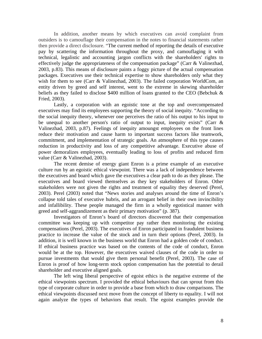In addition, another means by which executives can avoid complaint from outsiders is to camouflage their compensation in the notes to financial statements rather then provide a direct disclosure. "The current method of reporting the details of executive pay by scattering the information throughout the proxy, and camouflaging it with technical, legalistic and accounting jargon conflicts with the shareholders' rights to effectively judge the appropriateness of the compensation package" (Carr & Valinezhad, 2003, p.83). This means of disclosure paints a foggy picture of the actual compensation packages. Executives use their technical expertise to show shareholders only what they wish for them to see (Carr & Valinezhad, 2003). The failed corporation WorldCom, an entity driven by greed and self interest, went to the extreme in skewing shareholder beliefs as they failed to disclose \$400 million of loans granted to the CEO (Bebchuk & Fried, 2003).

Lastly, a corporation with an egoistic tone at the top and overcompensated executives may find its employees supporting the theory of social inequity. "According to the social inequity theory, whenever one perceives the ratio of his output to his input to be unequal to another person's ratio of output to input, inequity exists" (Carr & Valinezhad, 2003, p.87). Feelings of inequity amoungst employees on the front lines reduce their motivation and cause harm to important success factors like teamwork, commitment, and implementation of strategic goals. An atmosphere of this type causes reduction in productivity and loss of any competitive advantage. Executive abuse of power demoralizes employees, eventually leading to loss of profits and reduced firm value (Carr & Valinezhad, 2003).

The recent demise of energy giant Enron is a prime example of an executive culture run by an egoistic ethical viewpoint. There was a lack of independence between the executives and board which gave the executives a clear path to do as they please. The executives and board viewed themselves as they key stakeholders of Enron. Other stakeholders were not given the rights and treatment of equality they deserved (Perel, 2003). Perel (2003) noted that "News stories and analyses around the time of Enron's collapse told tales of executive hubris, and an arrogant belief in their own invincibility and infallibility. These people managed the firm in a wholly egotistical manner with greed and self-aggrandizement as their primary motivation" (p. 387).

Investigators of Enron's board of directors discovered that their compensation committee was keeping up with competitor pay rather then monitoring the existing compensations (Perel, 2003). The executives of Enron participated in fraudulent business practice to increase the value of the stock and in turn their options (Perel, 2003). In addition, it is well known in the business world that Enron had a golden code of conduct. If ethical business practice was based on the contents of the code of conduct, Enron would be at the top. However, the executives waived clauses of the code in order to pursue investments that would give them personal benefit (Perel, 2003). The case of Enron is proof of how long-term stock option compensation has the potential to derail shareholder and executive aligned goals.

 The left wing liberal perspective of egoist ethics is the negative extreme of the ethical viewpoints spectrum. I provided the ethical behaviours that can sprout from this type of corporate culture in order to provide a base from which to draw comparisons. The ethical viewpoints discussed next move from the concept of liberty to equality. I will not again analyze the types of behaviors that result. The egoist examples provide the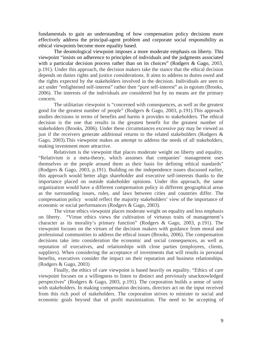fundamentals to gain an understanding of how compensation policy decisions more effectively address the principal-agent problem and corporate social responsibility as ethical viewpoints become more equality based.

The deontological viewpoint imposes a more moderate emphasis on liberty. This viewpoint "insists on adherence to principles of individuals and the judgments associated with a particular decision process rather than on its choices" (Rodgers & Gago, 2003, p.191). Under this approach, the decision makers take the stance that the ethical decision depends on duties rights and justice considerations. It aims to address to duties owed and the rights expected by the stakeholders involved in the decision. Individuals are seen to act under "enlightened self-interest" rather then "pure self-interest" as in egoism (Brooks, 2006). The interests of the individuals are considered but by no means are the primary concern.

The utilitarian viewpoint is "concerned with consequences, as well as the greatest good for the greatest number of people" (Rodgers & Gago, 2003, p.191).This approach studies decisions in terms of benefits and harms it provides to stakeholders. The ethical decision is the one that results in the greatest benefit for the greatest number of stakeholders (Brooks, 2006). Under these circumstances excessive pay may be viewed as just if the receivers generate additional returns to the related stakeholders (Rodgers & Gago, 2003).This viewpoint makes an attempt to address the needs of all stakeholders, making investment more attractive.

Relativism is the viewpoint that places moderate weight on liberty and equality. "Relativism is a meta-theory, which assumes that companies' management uses themselves or the people around them as their basis for defining ethical standards" (Rodgers & Gago, 2003, p.191). Building on the independence issues discussed earlier, this approach would better align shareholder and executive self-interests thanks to the importance placed on outside stakeholder opinions. Under this approach, the same organization would have a different compensation policy in different geographical areas as the surrounding issues, rules, and laws between cities and countries differ. The compensation policy would reflect the majority stakeholders' view of the importance of economic or social performances (Rodgers & Gago, 2003).

The virtue ethics viewpoint places moderate weight on equality and less emphasis on liberty. "Virtue ethics views the cultivation of virtuous traits of management's character as its morality's primary function" (Rodgers & Gago, 2003, p.191). The viewpoint focuses on the virtues of the decision makers with guidance from moral and professional communities to address the ethical issues (Brooks, 2006). The compensation decisions take into consideration the economic and social consequences, as well as reputation of executives, and relationships with close parties (employees, clients, suppliers). When considering the acceptance of investments that will results in personal benefits, executives consider the impact on their reputation and business relationships. (Rodgers & Gago, 2003)

Finally, the ethics of care viewpoint is based heavily on equality. "Ethics of care viewpoint focuses on a willingness to listen to distinct and previously unacknowledged perspectives" (Rodgers & Gago, 2003, p.191). The corporation builds a sense of unity with stakeholders. In making compensation decisions, directors act on the input received from this rich pool of stakeholders. The corporation strives to minister to social and economic goals beyond that of profit maximization. The need to be accepting of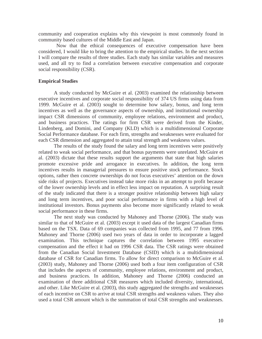community and cooperation explains why this viewpoint is most commonly found in community based cultures of the Middle East and Japan.

 Now that the ethical consequences of executive compensation have been considered, I would like to bring the attention to the empirical studies. In the next section I will compare the results of three studies. Each study has similar variables and measures used, and all try to find a correlation between executive compensation and corporate social responsibility (CSR).

### **Empirical Studies**

A study conducted by McGuire et al. (2003) examined the relationship between executive incentives and corporate social responsibility of 374 US firms using data from 1999. McGuire et al. (2003) sought to determine how salary, bonus, and long term incentives as well as the governance aspects of ownership, and institutional ownership impact CSR dimensions of community, employee relations, environment and product, and business practices. The ratings for firm CSR were derived from the Kinder, Lindenberg, and Domini, and Company (KLD) which is a multidimensional Corporate Social Performance database. For each firm, strengths and weaknesses were evaluated for each CSR dimension and aggregated to attain total strength and weakness values.

The results of the study found the salary and long term incentives were positively related to weak social performance, and that bonus payments were unrelated. McGuire et al. (2003) dictate that these results support the arguments that state that high salaries promote excessive pride and arrogance in executives. In addition, the long term incentives results in managerial pressures to ensure positive stock performance. Stock options, rather then concrete ownerships do not focus executives' attention on the down side risks of projects. Executives instead take more risks in an attempt to profit because of the lower ownership levels and in effect less impact on reputation. A surprising result of the study indicated that there is a stronger positive relationship between high salary and long term incentives, and poor social performance in firms with a high level of institutional investors. Bonus payments also become more significantly related to weak social performance in these firms.

The next study was conducted by Mahoney and Thorne (2006). The study was similar to that of McGuire et al. (2003) except it used data of the largest Canadian firms based on the TSX. Data of 69 companies was collected from 1995, and 77 from 1996. Mahoney and Thorne (2006) used two years of data in order to incorporate a lagged examination. This technique captures the correlation between 1995 executive compensation and the effect it had on 1996 CSR data. The CSR ratings were obtained from the Canadian Social Investment Database (CSID) which is a multidimensional database of CSR for Canadian firms. To allow for direct comparison to McGuire et al. (2003) study, Mahoney and Thorne (2006) used both a four item configuration of CSR that includes the aspects of community, employee relations, environment and product, and business practices. In addition, Mahoney and Thorne (2006) conducted an examination of three additional CSR measures which included diversity, international, and other. Like McGuire et al. (2003), this study aggregated the strengths and weaknesses of each incentive on CSR to arrive at total CSR strengths and weakness values. They also used a total CSR amount which is the summation of total CSR strengths and weaknesses.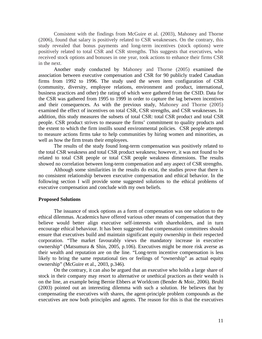Consistent with the findings from McGuire et al. (2003), Mahoney and Thorne (2006), found that salary is positively related to CSR weaknesses. On the contrary, this study revealed that bonus payments and long-term incentives (stock options) were positively related to total CSR and CSR strengths. This suggests that executives, who received stock options and bonuses in one year, took actions to enhance their firms CSR in the next.

Another study conducted by Mahoney and Thorne (2005) examined the association between executive compensation and CSR for 90 publicly traded Canadian firms from 1992 to 1996. The study used the seven item configuration of CSR (community, diversity, employee relations, environment and product, international, business practices and other) the rating of which were gathered from the CSID. Data for the CSR was gathered from 1995 to 1999 in order to capture the lag between incentives and their consequences. As with the previous study, Mahoney and Thorne (2005) examined the effect of incentives on total CSR, CSR strengths, and CSR weaknesses. In addition, this study measures the subsets of total CSR: total CSR product and total CSR people. CSR product strives to measure the firms' commitment to quality products and the extent to which the firm instills sound environmental policies. CSR people attempts to measure actions firms take to help communities by hiring women and minorities, as well as how the firm treats their employees.

The results of the study found long-term compensation was positively related to the total CSR weakness and total CSR product weakness; however, it was not found to be related to total CSR people or total CSR people weakness dimensions. The results showed no correlation between long-term compensation and any aspect of CSR strengths.

Although some similarities in the results do exist, the studies prove that there is no consistent relationship between executive compensation and ethical behavior. In the following section I will provide some suggested solutions to the ethical problems of executive compensation and conclude with my own beliefs.

#### **Proposed Solutions**

The issuance of stock options as a form of compensation was one solution to the ethical dilemmas. Academics have offered various other means of compensation that they believe would better align executive self-interests with shareholders, and in turn encourage ethical behaviour. It has been suggested that compensation committees should ensure that executives build and maintain significant equity ownership in their respected corporation. "The market favourably views the mandatory increase in executive ownership" (Matsumura & Shin, 2005, p.106). Executives might be more risk averse as their wealth and reputation are on the line. "Long-term incentive compensation is less likely to bring the same reputational ties or feelings of "ownership" as actual equity ownership" (McGuire et al., 2003, p.346).

On the contrary, it can also be argued that an executive who holds a large share of stock in their company may resort to alternative or unethical practices as their wealth is on the line, an example being Bernie Ebbers at Worldcom (Bender & Moir, 2006). Bruhl (2003) pointed out an interesting dilemma with such a solution. He believes that by compensating the executives with shares, the agent-principle problem compounds as the executives are now both principles and agents. The reason for this is that the executives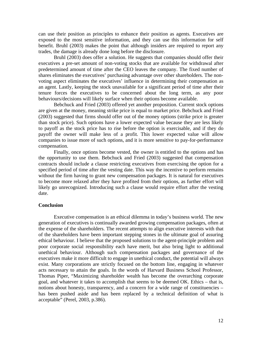can use their position as principles to enhance their position as agents. Executives are exposed to the most sensitive information, and they can use this information for self benefit. Bruhl (2003) makes the point that although insiders are required to report any trades, the damage is already done long before the disclosure.

Bruhl (2003) does offer a solution. He suggests that companies should offer their executives a pre-set amount of non-voting stocks that are available for withdrawal after predetermined amount of time after the CEO leaves the company. The fixed number of shares eliminates the executives' purchasing advantage over other shareholders. The nonvoting aspect eliminates the executives' influence in determining their compensation as an agent. Lastly, keeping the stock unavailable for a significant period of time after their tenure forces the executives to be concerned about the long term, as any poor behaviours/decisions will likely surface when their options become available.

Bebchuck and Fried (2003) offered yet another proposition. Current stock options are given at the money, meaning strike price is equal to market price. Bebchuck and Fried (2003) suggested that firms should offer out of the money options (strike price is greater than stock price). Such options have a lower expected value because they are less likely to payoff as the stock price has to rise before the option is exercisable, and if they do payoff the owner will make less of a profit. This lower expected value will allow companies to issue more of such options, and it is more sensitive to pay-for-performance compensation.

Finally, once options become vested, the owner is entitled to the options and has the opportunity to use them. Bebchuck and Fried (2003) suggested that compensation contracts should include a clause restricting executives from exercising the option for a specified period of time after the vesting date. This way the incentive to perform remains without the firm having to grant new compensation packages. It is natural for executives to become more relaxed after they have profited from their options, as further effort will likely go unrecognized. Introducing such a clause would require effort after the vesting date.

## **Conclusion**

Executive compensation is an ethical dilemma in today's business world. The new generation of executives is continually awarded growing compensation packages, often at the expense of the shareholders. The recent attempts to align executive interests with that of the shareholders have been important stepping stones in the ultimate goal of assuring ethical behaviour. I believe that the proposed solutions to the agent-principle problem and poor corporate social responsibility each have merit, but also bring light to additional unethical behaviour. Although such compensation packages and governance of the executives make it more difficult to engage in unethical conduct, the potential will always exist. Many corporations are strictly focused on the bottom line, engaging in whatever acts necessary to attain the goals. In the words of Harvard Business School Professor, Thomas Piper, "Maximizing shareholder wealth has become the overarching corporate goal, and whatever it takes to accomplish that seems to be deemed OK. Ethics – that is, notions about honesty, transparency, and a concern for a wide range of constituencies – has been pushed aside and has been replaced by a technical definition of what is acceptable" (Perel, 2003, p.386).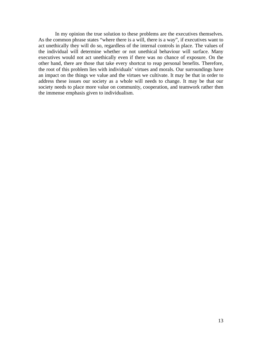In my opinion the true solution to these problems are the executives themselves. As the common phrase states "where there is a will, there is a way", if executives want to act unethically they will do so, regardless of the internal controls in place. The values of the individual will determine whether or not unethical behaviour will surface. Many executives would not act unethically even if there was no chance of exposure. On the other hand, there are those that take every shortcut to reap personal benefits. Therefore, the root of this problem lies with individuals' virtues and morals. Our surroundings have an impact on the things we value and the virtues we cultivate. It may be that in order to address these issues our society as a whole will needs to change. It may be that our society needs to place more value on community, cooperation, and teamwork rather then the immense emphasis given to individualism.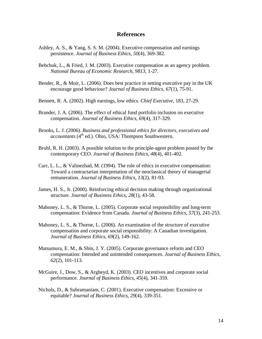# **References**

- Ashley, A. S., & Yang, S. S. M. (2004). Executive compensation and earnings persistence. *Journal of Business Ethics*, *50*(4), 369-382.
- Bebchuk, L., & Fried, J. M. (2003). Executive compensation as an agency problem. *National Bureau of Economic Research, 9813*, 1-27.
- Bender, R., & Moir, L. (2006). Does best practice in setting executive pay in the UK encourage good behaviour? *Journal of Business Ethics*, *67*(1), 75-91.
- Bennett, R. A. (2002). High earnings, low ethics. *Chief Executive,* 183, 27-29.
- Brander, J. A. (2006). The effect of ethical fund portfolio inclusion on executive compensation. *Journal of Business Ethics, 69*(4), 317-329.
- Brooks, L. J. (2006). *Business and professional ethics for directors, executives and accountants* (4<sup>th</sup> ed.). Ohio, USA: Thompson Southwestern.
- Bruhl, R. H. (2003). A possible solution to the principle-agent problem posted by the contemporary CEO. *Journal of Business Ethics, 48*(4), 401-402.
- Carr, L. L., & Valinezhad, M. (1994). The role of ethics in executive compensation: Toward a contractarian interpretation of the neoclassical theory of managerial remuneration. *Journal of Business Ethics, 13*(2), 81-93.
- James, H. S., Jr. (2000). Reinforcing ethical decision making through organizational structure. *Journal of Business Ethics, 28*(1), 43-58.
- Mahoney, L. S., & Thorne, L. (2005). Corporate social responsibility and long-term compensation: Evidence from Canada. *Journal of Business Ethics*, *57*(3), 241-253.
- Mahoney, L. S., & Thorne, L. (2006). An examination of the structure of executive compensation and corporate social responsibility: A Canadian investigation. *Journal of Business Ethics*, *69*(2), 149-162.
- Matsumura, E. M., & Shin, J. Y. (2005). Corporate governance reform and CEO compensation: Intended and unintended consequences. *Journal of Business Ethics*, *62*(2), 101-113.
- McGuire, J., Dow, S., & Argheyd, K. (2003). CEO incentives and corporate social performance. *Journal of Business Ethics*, *45*(4), 341-359.
- Nichols, D., & Subramaniam, C. (2001). Executive compensation: Excessive or equitable? *Journal of Business Ethics*, *29*(4), 339-351.